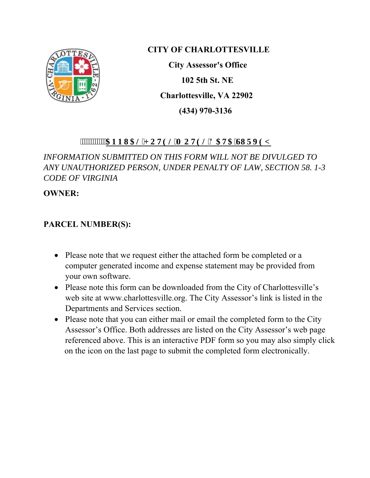

### **CITY OF CHARLOTTESVILLE**

 **City Assessor's Office 102 5th St. NE Charlottesville, VA 22902 (434) 970-3136** 

#### **"""""""CPPWCN'J QVGNIO QVGN'F CVC'UWIXG[**

*INFORMATION SUBMITTED ON THIS FORM WILL NOT BE DIVULGED TO ANY UNAUTHORIZED PERSON, UNDER PENALTY OF LAW, SECTION 58. 1-3 CODE OF VIRGINIA* 

**OWNER:** 

#### **PARCEL NUMBER(S):**

- Please note that we request either the attached form be completed or a computer generated income and expense statement may be provided from your own software.
- Please note this form can be downloaded from the City of Charlottesville's web site at www.charlottesville.org. The City Assessor's link is listed in the Departments and Services section.
- Please note that you can either mail or email the completed form to the City Assessor's Office. Both addresses are listed on the City Assessor's web page referenced above. This is an interactive PDF form so you may also simply click on the icon on the last page to submit the completed form electronically.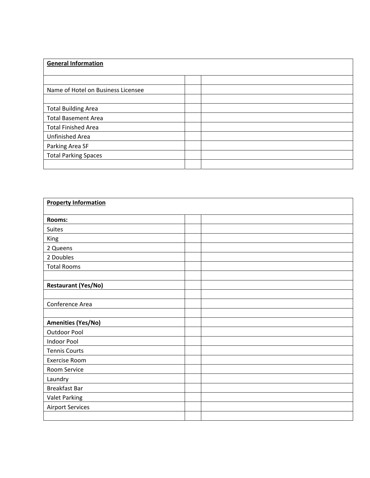| <b>General Information</b>         |  |  |
|------------------------------------|--|--|
|                                    |  |  |
|                                    |  |  |
| Name of Hotel on Business Licensee |  |  |
|                                    |  |  |
| <b>Total Building Area</b>         |  |  |
| <b>Total Basement Area</b>         |  |  |
| <b>Total Finished Area</b>         |  |  |
| Unfinished Area                    |  |  |
| Parking Area SF                    |  |  |
| <b>Total Parking Spaces</b>        |  |  |
|                                    |  |  |

| <b>Property Information</b> |  |  |  |
|-----------------------------|--|--|--|
|                             |  |  |  |
| <b>Rooms:</b>               |  |  |  |
| Suites                      |  |  |  |
| King                        |  |  |  |
| 2 Queens                    |  |  |  |
| 2 Doubles                   |  |  |  |
| <b>Total Rooms</b>          |  |  |  |
|                             |  |  |  |
| <b>Restaurant (Yes/No)</b>  |  |  |  |
|                             |  |  |  |
| Conference Area             |  |  |  |
|                             |  |  |  |
| <b>Amenities (Yes/No)</b>   |  |  |  |
| Outdoor Pool                |  |  |  |
| <b>Indoor Pool</b>          |  |  |  |
| <b>Tennis Courts</b>        |  |  |  |
| <b>Exercise Room</b>        |  |  |  |
| Room Service                |  |  |  |
| Laundry                     |  |  |  |
| <b>Breakfast Bar</b>        |  |  |  |
| <b>Valet Parking</b>        |  |  |  |
| <b>Airport Services</b>     |  |  |  |
|                             |  |  |  |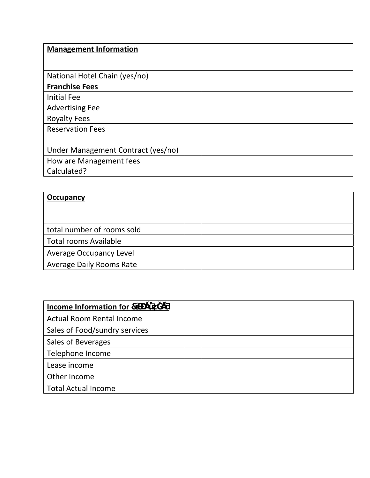## **Management Information**  National Hotel Chain (yes/no) **Franchise Fees**  Initial Fee Advertising Fee Royalty Fees Reservation Fees Under Management Contract (yes/no) How are Management fees Calculated?

# **Occupancy**  total number of rooms sold Total rooms Available Average Occupancy Level Average Daily Rooms Rate

| .,<br>Income Information for 7   |  |
|----------------------------------|--|
| <b>Actual Room Rental Income</b> |  |
| Sales of Food/sundry services    |  |
| Sales of Beverages               |  |
| Telephone Income                 |  |
| Lease income                     |  |
| Other Income                     |  |
| <b>Total Actual Income</b>       |  |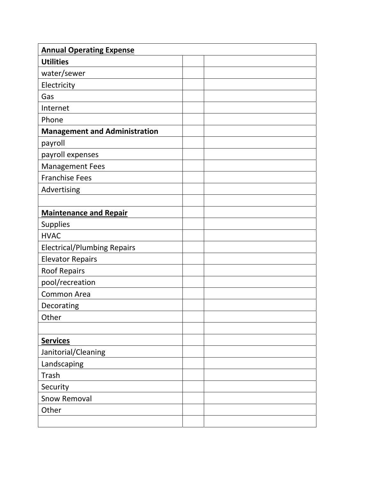| <b>Annual Operating Expense</b>      |  |  |
|--------------------------------------|--|--|
| <b>Utilities</b>                     |  |  |
| water/sewer                          |  |  |
| Electricity                          |  |  |
| Gas                                  |  |  |
| Internet                             |  |  |
| Phone                                |  |  |
| <b>Management and Administration</b> |  |  |
| payroll                              |  |  |
| payroll expenses                     |  |  |
| <b>Management Fees</b>               |  |  |
| <b>Franchise Fees</b>                |  |  |
| Advertising                          |  |  |
|                                      |  |  |
| <b>Maintenance and Repair</b>        |  |  |
| <b>Supplies</b>                      |  |  |
| <b>HVAC</b>                          |  |  |
| <b>Electrical/Plumbing Repairs</b>   |  |  |
| <b>Elevator Repairs</b>              |  |  |
| <b>Roof Repairs</b>                  |  |  |
| pool/recreation                      |  |  |
| <b>Common Area</b>                   |  |  |
| Decorating                           |  |  |
| Other                                |  |  |
|                                      |  |  |
| <b>Services</b>                      |  |  |
| Janitorial/Cleaning                  |  |  |
| Landscaping                          |  |  |
| Trash                                |  |  |
| Security                             |  |  |
| <b>Snow Removal</b>                  |  |  |
| Other                                |  |  |
|                                      |  |  |